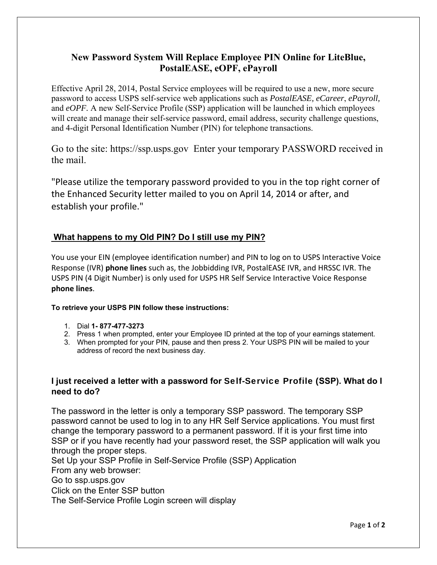# **New Password System Will Replace Employee PIN Online for LiteBlue, PostalEASE, eOPF, ePayroll**

Effective April 28, 2014, Postal Service employees will be required to use a new, more secure password to access USPS self-service web applications such as *PostalEASE, eCareer*, *ePayroll,* and *eOPF.* A new Self-Service Profile (SSP) application will be launched in which employees will create and manage their self-service password, email address, security challenge questions, and 4-digit Personal Identification Number (PIN) for telephone transactions.

Go to the site: https://ssp.usps.gov Enter your temporary PASSWORD received in the mail.

"Please utilize the temporary password provided to you in the top right corner of the Enhanced Security letter mailed to you on April 14, 2014 or after, and establish your profile."

## **What happens to my Old PIN? Do I still use my PIN?**

You use your EIN (employee identification number) and PIN to log on to USPS Interactive Voice Response (IVR) **phone lines** such as, the Jobbidding IVR, PostalEASE IVR, and HRSSC IVR. The USPS PIN (4 Digit Number) is only used for USPS HR Self Service Interactive Voice Response **phone lines**.

#### **To retrieve your USPS PIN follow these instructions:**

- 1. Dial **1- 877-477-3273**
- 2. Press 1 when prompted, enter your Employee ID printed at the top of your earnings statement.
- 3. When prompted for your PIN, pause and then press 2. Your USPS PIN will be mailed to your address of record the next business day.

### **I just received a letter with a password for** Self-Service Profile (**SSP). What do I need to do?**

The password in the letter is only a temporary SSP password. The temporary SSP password cannot be used to log in to any HR Self Service applications. You must first change the temporary password to a permanent password. If it is your first time into SSP or if you have recently had your password reset, the SSP application will walk you through the proper steps.

Set Up your SSP Profile in Self-Service Profile (SSP) Application From any web browser: Go to ssp.usps.gov Click on the Enter SSP button The Self-Service Profile Login screen will display